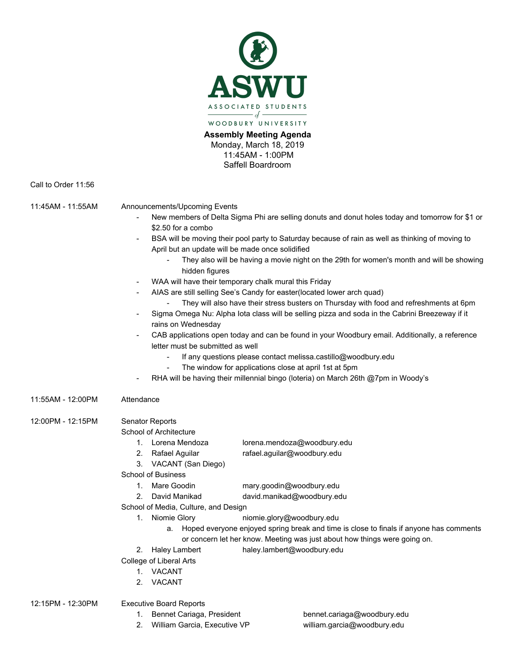

**Assembly Meeting Agenda** Monday, March 18, 2019 11:45AM - 1:00PM Saffell Boardroom

Call to Order 11:56

11:45AM - 11:55AM Announcements/Upcoming Events

- New members of Delta Sigma Phi are selling donuts and donut holes today and tomorrow for \$1 or \$2.50 for a combo
- BSA will be moving their pool party to Saturday because of rain as well as thinking of moving to April but an update will be made once solidified
	- They also will be having a movie night on the 29th for women's month and will be showing hidden figures
- WAA will have their temporary chalk mural this Friday
	- AIAS are still selling See's Candy for easter(located lower arch quad)
		- They will also have their stress busters on Thursday with food and refreshments at 6pm
- Sigma Omega Nu: Alpha Iota class will be selling pizza and soda in the Cabrini Breezeway if it rains on Wednesday
- CAB applications open today and can be found in your Woodbury email. Additionally, a reference letter must be submitted as well
	- If any questions please contact melissa.castillo@woodbury.edu
	- The window for applications close at april 1st at 5pm
- RHA will be having their millennial bingo (loteria) on March 26th @7pm in Woody's

11:55AM - 12:00PM Attendance

12:00PM - 12:15PM Senator Reports

School of Architecture

- 1. Lorena Mendoza lorena.mendoza@woodbury.edu
- 2. Rafael Aguilar rafael.aguilar@woodbury.edu
- 3. VACANT (San Diego)

School of Business

- 1. Mare Goodin mary.goodin@woodbury.edu
- 2. David Manikad david.manikad@woodbury.edu
- School of Media, Culture, and Design
	- 1. Niomie Glory niomie.glory@woodbury.edu
		- a. Hoped everyone enjoyed spring break and time is close to finals if anyone has comments or concern let her know. Meeting was just about how things were going on.
- 2. Haley Lambert haley.lambert@woodbury.edu
- College of Liberal Arts
	- 1. VACANT
	- 2. VACANT

12:15PM - 12:30PM Executive Board Reports

- 1. Bennet Cariaga, President bennet.cariaga@woodbury.edu
- 2. William Garcia, Executive VP william.garcia@woodbury.edu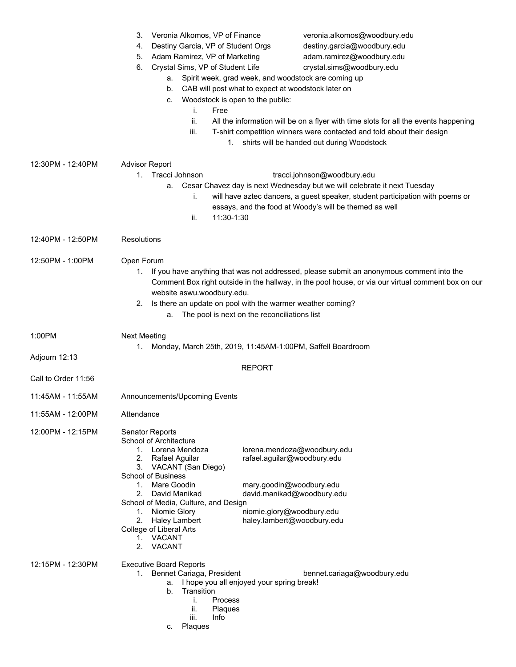|                                      | Veronia Alkomos, VP of Finance<br>veronia.alkomos@woodbury.edu<br>3.<br>Destiny Garcia, VP of Student Orgs<br>destiny.garcia@woodbury.edu<br>4.<br>adam.ramirez@woodbury.edu<br>Adam Ramirez, VP of Marketing<br>5.<br>Crystal Sims, VP of Student Life<br>crystal.sims@woodbury.edu<br>6.<br>a. Spirit week, grad week, and woodstock are coming up<br>b. CAB will post what to expect at woodstock later on<br>Woodstock is open to the public:<br>C.<br>Free<br>i.<br>ii.<br>All the information will be on a flyer with time slots for all the events happening<br>iii.<br>T-shirt competition winners were contacted and told about their design<br>1. shirts will be handed out during Woodstock |
|--------------------------------------|--------------------------------------------------------------------------------------------------------------------------------------------------------------------------------------------------------------------------------------------------------------------------------------------------------------------------------------------------------------------------------------------------------------------------------------------------------------------------------------------------------------------------------------------------------------------------------------------------------------------------------------------------------------------------------------------------------|
| 12:30PM - 12:40PM                    | <b>Advisor Report</b><br>1. Tracci Johnson<br>tracci.johnson@woodbury.edu<br>Cesar Chavez day is next Wednesday but we will celebrate it next Tuesday<br>а.<br>will have aztec dancers, a guest speaker, student participation with poems or<br>i.<br>essays, and the food at Woody's will be themed as well<br>11:30-1:30<br>ii.                                                                                                                                                                                                                                                                                                                                                                      |
| 12:40PM - 12:50PM                    | Resolutions                                                                                                                                                                                                                                                                                                                                                                                                                                                                                                                                                                                                                                                                                            |
| 12:50PM - 1:00PM                     | Open Forum<br>If you have anything that was not addressed, please submit an anonymous comment into the<br>1.<br>Comment Box right outside in the hallway, in the pool house, or via our virtual comment box on our<br>website aswu.woodbury.edu.<br>Is there an update on pool with the warmer weather coming?<br>2.<br>The pool is next on the reconciliations list<br>а.                                                                                                                                                                                                                                                                                                                             |
| 1:00PM                               | <b>Next Meeting</b><br>1. Monday, March 25th, 2019, 11:45AM-1:00PM, Saffell Boardroom                                                                                                                                                                                                                                                                                                                                                                                                                                                                                                                                                                                                                  |
| Adjourn 12:13<br>Call to Order 11:56 | <b>REPORT</b>                                                                                                                                                                                                                                                                                                                                                                                                                                                                                                                                                                                                                                                                                          |
| 11:45AM - 11:55AM                    | Announcements/Upcoming Events                                                                                                                                                                                                                                                                                                                                                                                                                                                                                                                                                                                                                                                                          |
| 11:55AM - 12:00PM                    | Attendance                                                                                                                                                                                                                                                                                                                                                                                                                                                                                                                                                                                                                                                                                             |
| 12:00PM - 12:15PM                    | Senator Reports<br>School of Architecture<br>1. Lorena Mendoza<br>lorena.mendoza@woodbury.edu<br>rafael.aguilar@woodbury.edu<br>2.<br>Rafael Aguilar<br>3. VACANT (San Diego)<br>School of Business<br>Mare Goodin<br>mary.goodin@woodbury.edu<br>1.<br>david.manikad@woodbury.edu<br>2.<br>David Manikad<br>School of Media, Culture, and Design<br>1. Niomie Glory<br>niomie.glory@woodbury.edu<br>haley.lambert@woodbury.edu<br>2.<br>Haley Lambert<br>College of Liberal Arts<br>1. VACANT<br>2.<br>VACANT                                                                                                                                                                                         |
| 12:15PM - 12:30PM                    | <b>Executive Board Reports</b><br>1. Bennet Cariaga, President<br>bennet.cariaga@woodbury.edu<br>I hope you all enjoyed your spring break!<br>а.<br>b.<br>Transition<br>Process<br>i.<br>ii.<br>Plaques<br>iii.<br>Info<br>Plaques<br>C.                                                                                                                                                                                                                                                                                                                                                                                                                                                               |